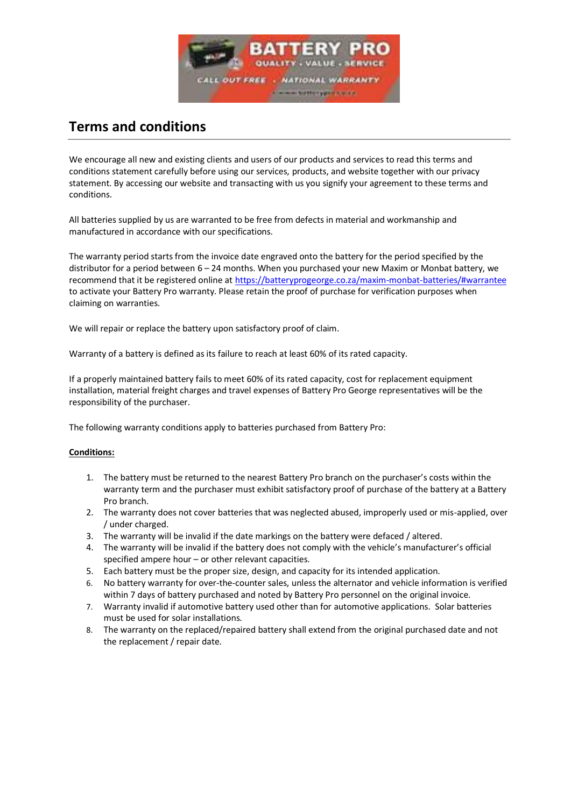

# **Terms and conditions**

We encourage all new and existing clients and users of our products and services to read this terms and conditions statement carefully before using our services, products, and website together with our privacy statement. By accessing our website and transacting with us you signify your agreement to these terms and conditions.

All batteries supplied by us are warranted to be free from defects in material and workmanship and manufactured in accordance with our specifications.

The warranty period starts from the invoice date engraved onto the battery for the period specified by the distributor for a period between 6 – 24 months. When you purchased your new Maxim or Monbat battery, we recommend that it be registered online at<https://batteryprogeorge.co.za/maxim-monbat-batteries/#warrantee> to activate your Battery Pro warranty. Please retain the proof of purchase for verification purposes when claiming on warranties.

We will repair or replace the battery upon satisfactory proof of claim.

Warranty of a battery is defined as its failure to reach at least 60% of its rated capacity.

If a properly maintained battery fails to meet 60% of its rated capacity, cost for replacement equipment installation, material freight charges and travel expenses of Battery Pro George representatives will be the responsibility of the purchaser.

The following warranty conditions apply to batteries purchased from Battery Pro:

# **Conditions:**

- 1. The battery must be returned to the nearest Battery Pro branch on the purchaser's costs within the warranty term and the purchaser must exhibit satisfactory proof of purchase of the battery at a Battery Pro branch.
- 2. The warranty does not cover batteries that was neglected abused, improperly used or mis-applied, over / under charged.
- 3. The warranty will be invalid if the date markings on the battery were defaced / altered.
- 4. The warranty will be invalid if the battery does not comply with the vehicle's manufacturer's official specified ampere hour – or other relevant capacities.
- 5. Each battery must be the proper size, design, and capacity for its intended application.
- 6. No battery warranty for over-the-counter sales, unless the alternator and vehicle information is verified within 7 days of battery purchased and noted by Battery Pro personnel on the original invoice.
- 7. Warranty invalid if automotive battery used other than for automotive applications. Solar batteries must be used for solar installations.
- 8. The warranty on the replaced/repaired battery shall extend from the original purchased date and not the replacement / repair date.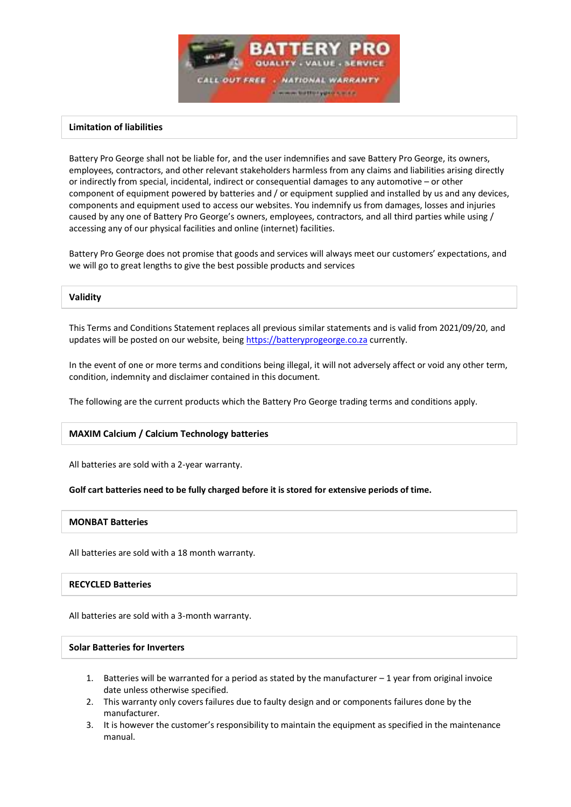

# **Limitation of liabilities**

Battery Pro George shall not be liable for, and the user indemnifies and save Battery Pro George, its owners, employees, contractors, and other relevant stakeholders harmless from any claims and liabilities arising directly or indirectly from special, incidental, indirect or consequential damages to any automotive – or other component of equipment powered by batteries and / or equipment supplied and installed by us and any devices, components and equipment used to access our websites. You indemnify us from damages, losses and injuries caused by any one of Battery Pro George's owners, employees, contractors, and all third parties while using / accessing any of our physical facilities and online (internet) facilities.

Battery Pro George does not promise that goods and services will always meet our customers' expectations, and we will go to great lengths to give the best possible products and services

#### **Validity**

This Terms and Conditions Statement replaces all previous similar statements and is valid from 2021/09/20, and updates will be posted on our website, bein[g https://batteryprogeorge.co.za](https://batteryprogeorge.co.za/) currently.

In the event of one or more terms and conditions being illegal, it will not adversely affect or void any other term, condition, indemnity and disclaimer contained in this document.

The following are the current products which the Battery Pro George trading terms and conditions apply.

# **MAXIM Calcium / Calcium Technology batteries**

All batteries are sold with a 2-year warranty.

# **Golf cart batteries need to be fully charged before it is stored for extensive periods of time.**

# **MONBAT Batteries**

All batteries are sold with a 18 month warranty.

# **RECYCLED Batteries**

All batteries are sold with a 3-month warranty.

# **Solar Batteries for Inverters**

- 1. Batteries will be warranted for a period as stated by the manufacturer 1 year from original invoice date unless otherwise specified.
- 2. This warranty only covers failures due to faulty design and or components failures done by the manufacturer.
- 3. It is however the customer's responsibility to maintain the equipment as specified in the maintenance manual.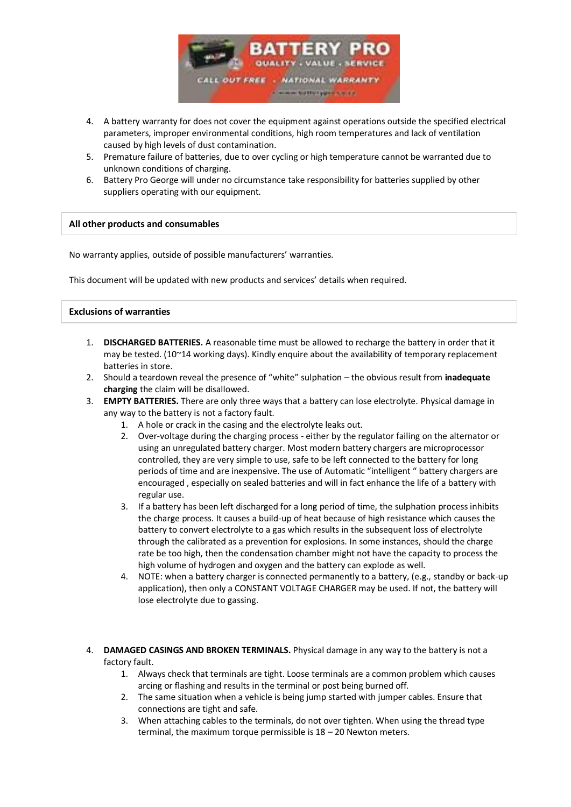

- 4. A battery warranty for does not cover the equipment against operations outside the specified electrical parameters, improper environmental conditions, high room temperatures and lack of ventilation caused by high levels of dust contamination.
- 5. Premature failure of batteries, due to over cycling or high temperature cannot be warranted due to unknown conditions of charging.
- 6. Battery Pro George will under no circumstance take responsibility for batteries supplied by other suppliers operating with our equipment.

# **All other products and consumables**

No warranty applies, outside of possible manufacturers' warranties.

This document will be updated with new products and services' details when required.

### **Exclusions of warranties**

- 1. **DISCHARGED BATTERIES.** A reasonable time must be allowed to recharge the battery in order that it may be tested. (10~14 working days). Kindly enquire about the availability of temporary replacement batteries in store.
- 2. Should a teardown reveal the presence of "white" sulphation the obvious result from **inadequate charging** the claim will be disallowed.
- 3. **EMPTY BATTERIES.** There are only three ways that a battery can lose electrolyte. Physical damage in any way to the battery is not a factory fault.
	- 1. A hole or crack in the casing and the electrolyte leaks out.
	- 2. Over-voltage during the charging process either by the regulator failing on the alternator or using an unregulated battery charger. Most modern battery chargers are microprocessor controlled, they are very simple to use, safe to be left connected to the battery for long periods of time and are inexpensive. The use of Automatic "intelligent " battery chargers are encouraged , especially on sealed batteries and will in fact enhance the life of a battery with regular use.
	- 3. If a battery has been left discharged for a long period of time, the sulphation process inhibits the charge process. It causes a build-up of heat because of high resistance which causes the battery to convert electrolyte to a gas which results in the subsequent loss of electrolyte through the calibrated as a prevention for explosions. In some instances, should the charge rate be too high, then the condensation chamber might not have the capacity to process the high volume of hydrogen and oxygen and the battery can explode as well.
	- 4. NOTE: when a battery charger is connected permanently to a battery, (e.g., standby or back-up application), then only a CONSTANT VOLTAGE CHARGER may be used. If not, the battery will lose electrolyte due to gassing.
- 4. **DAMAGED CASINGS AND BROKEN TERMINALS.** Physical damage in any way to the battery is not a factory fault.
	- 1. Always check that terminals are tight. Loose terminals are a common problem which causes arcing or flashing and results in the terminal or post being burned off.
	- 2. The same situation when a vehicle is being jump started with jumper cables. Ensure that connections are tight and safe.
	- 3. When attaching cables to the terminals, do not over tighten. When using the thread type terminal, the maximum torque permissible is 18 – 20 Newton meters.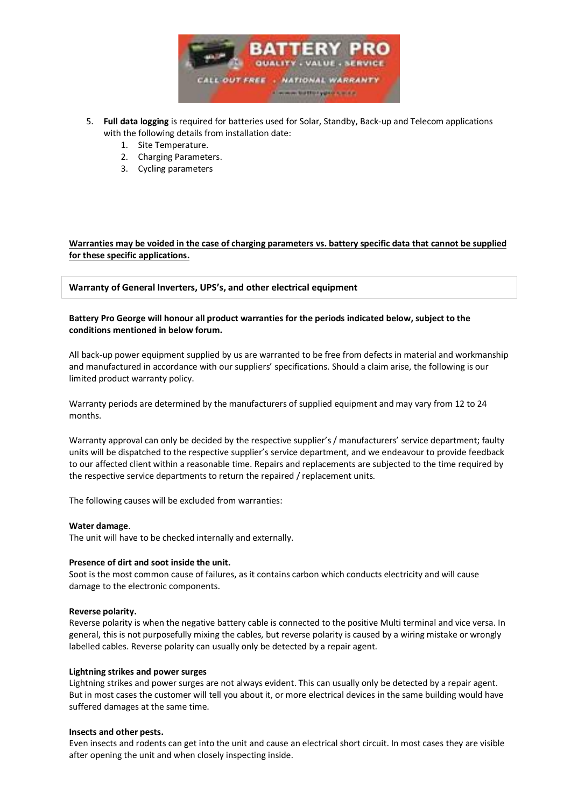

- 5. **Full data logging** is required for batteries used for Solar, Standby, Back-up and Telecom applications with the following details from installation date:
	- 1. Site Temperature.
	- 2. Charging Parameters.
	- 3. Cycling parameters

# **Warranties may be voided in the case of charging parameters vs. battery specific data that cannot be supplied for these specific applications.**

# **Warranty of General Inverters, UPS's, and other electrical equipment**

# **Battery Pro George will honour all product warranties for the periods indicated below, subject to the conditions mentioned in below forum.**

All back-up power equipment supplied by us are warranted to be free from defects in material and workmanship and manufactured in accordance with our suppliers' specifications. Should a claim arise, the following is our limited product warranty policy.

Warranty periods are determined by the manufacturers of supplied equipment and may vary from 12 to 24 months.

Warranty approval can only be decided by the respective supplier's / manufacturers' service department; faulty units will be dispatched to the respective supplier's service department, and we endeavour to provide feedback to our affected client within a reasonable time. Repairs and replacements are subjected to the time required by the respective service departments to return the repaired / replacement units.

The following causes will be excluded from warranties:

#### **Water damage**.

The unit will have to be checked internally and externally.

#### **Presence of dirt and soot inside the unit.**

Soot is the most common cause of failures, as it contains carbon which conducts electricity and will cause damage to the electronic components.

#### **Reverse polarity.**

Reverse polarity is when the negative battery cable is connected to the positive Multi terminal and vice versa. In general, this is not purposefully mixing the cables, but reverse polarity is caused by a wiring mistake or wrongly labelled cables. Reverse polarity can usually only be detected by a repair agent.

#### **Lightning strikes and power surges**

Lightning strikes and power surges are not always evident. This can usually only be detected by a repair agent. But in most cases the customer will tell you about it, or more electrical devices in the same building would have suffered damages at the same time.

#### **Insects and other pests.**

Even insects and rodents can get into the unit and cause an electrical short circuit. In most cases they are visible after opening the unit and when closely inspecting inside.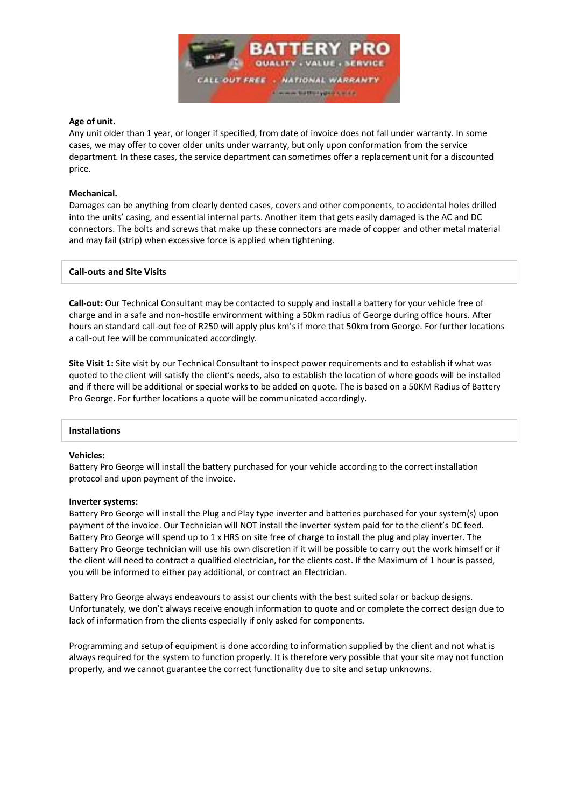

# **Age of unit.**

Any unit older than 1 year, or longer if specified, from date of invoice does not fall under warranty. In some cases, we may offer to cover older units under warranty, but only upon conformation from the service department. In these cases, the service department can sometimes offer a replacement unit for a discounted price.

#### **Mechanical.**

Damages can be anything from clearly dented cases, covers and other components, to accidental holes drilled into the units' casing, and essential internal parts. Another item that gets easily damaged is the AC and DC connectors. The bolts and screws that make up these connectors are made of copper and other metal material and may fail (strip) when excessive force is applied when tightening.

### **Call-outs and Site Visits**

**Call-out:** Our Technical Consultant may be contacted to supply and install a battery for your vehicle free of charge and in a safe and non-hostile environment withing a 50km radius of George during office hours. After hours an standard call-out fee of R250 will apply plus km's if more that 50km from George. For further locations a call-out fee will be communicated accordingly.

**Site Visit 1:** Site visit by our Technical Consultant to inspect power requirements and to establish if what was quoted to the client will satisfy the client's needs, also to establish the location of where goods will be installed and if there will be additional or special works to be added on quote. The is based on a 50KM Radius of Battery Pro George. For further locations a quote will be communicated accordingly.

#### **Installations**

#### **Vehicles:**

Battery Pro George will install the battery purchased for your vehicle according to the correct installation protocol and upon payment of the invoice.

#### **Inverter systems:**

Battery Pro George will install the Plug and Play type inverter and batteries purchased for your system(s) upon payment of the invoice. Our Technician will NOT install the inverter system paid for to the client's DC feed. Battery Pro George will spend up to 1 x HRS on site free of charge to install the plug and play inverter. The Battery Pro George technician will use his own discretion if it will be possible to carry out the work himself or if the client will need to contract a qualified electrician, for the clients cost. If the Maximum of 1 hour is passed, you will be informed to either pay additional, or contract an Electrician.

Battery Pro George always endeavours to assist our clients with the best suited solar or backup designs. Unfortunately, we don't always receive enough information to quote and or complete the correct design due to lack of information from the clients especially if only asked for components.

Programming and setup of equipment is done according to information supplied by the client and not what is always required for the system to function properly. It is therefore very possible that your site may not function properly, and we cannot guarantee the correct functionality due to site and setup unknowns.